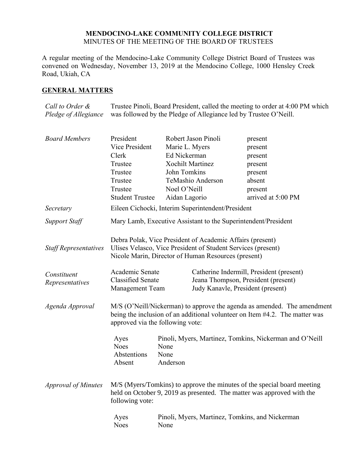## **MENDOCINO-LAKE COMMUNITY COLLEGE DISTRICT** MINUTES OF THE MEETING OF THE BOARD OF TRUSTEES

A regular meeting of the Mendocino-Lake Community College District Board of Trustees was convened on Wednesday, November 13, 2019 at the Mendocino College, 1000 Hensley Creek Road, Ukiah, CA

# **GENERAL MATTERS**

*Call to Order & Pledge of Allegiance* Trustee Pinoli, Board President, called the meeting to order at 4:00 PM which was followed by the Pledge of Allegiance led by Trustee O'Neill.

| <b>Board Members</b>         | President                                                                                                                                                                                  |                | Robert Jason Pinoli                                                                                                                                                              | present                                                                                                                                           |
|------------------------------|--------------------------------------------------------------------------------------------------------------------------------------------------------------------------------------------|----------------|----------------------------------------------------------------------------------------------------------------------------------------------------------------------------------|---------------------------------------------------------------------------------------------------------------------------------------------------|
|                              | Vice President                                                                                                                                                                             | Marie L. Myers |                                                                                                                                                                                  | present                                                                                                                                           |
|                              | Clerk                                                                                                                                                                                      | Ed Nickerman   |                                                                                                                                                                                  | present                                                                                                                                           |
|                              | Trustee                                                                                                                                                                                    |                | <b>Xochilt Martinez</b>                                                                                                                                                          | present                                                                                                                                           |
|                              | Trustee                                                                                                                                                                                    | John Tomkins   |                                                                                                                                                                                  | present                                                                                                                                           |
|                              | Trustee                                                                                                                                                                                    |                | TeMashio Anderson                                                                                                                                                                | absent                                                                                                                                            |
|                              | Trustee                                                                                                                                                                                    | Noel O'Neill   |                                                                                                                                                                                  | present                                                                                                                                           |
|                              | <b>Student Trustee</b>                                                                                                                                                                     | Aidan Lagorio  |                                                                                                                                                                                  | arrived at 5:00 PM                                                                                                                                |
| Secretary                    |                                                                                                                                                                                            |                | Eileen Cichocki, Interim Superintendent/President                                                                                                                                |                                                                                                                                                   |
| <b>Support Staff</b>         |                                                                                                                                                                                            |                | Mary Lamb, Executive Assistant to the Superintendent/President                                                                                                                   |                                                                                                                                                   |
| <b>Staff Representatives</b> |                                                                                                                                                                                            |                | Debra Polak, Vice President of Academic Affairs (present)<br>Ulises Velasco, Vice President of Student Services (present)<br>Nicole Marin, Director of Human Resources (present) |                                                                                                                                                   |
| Constituent                  | Academic Senate                                                                                                                                                                            |                |                                                                                                                                                                                  | Catherine Indermill, President (present)                                                                                                          |
| Representatives              | <b>Classified Senate</b>                                                                                                                                                                   |                | Jeana Thompson, President (present)                                                                                                                                              |                                                                                                                                                   |
|                              | Management Team                                                                                                                                                                            |                | Judy Kanavle, President (present)                                                                                                                                                |                                                                                                                                                   |
| Agenda Approval              | M/S (O'Neill/Nickerman) to approve the agenda as amended. The amendment<br>being the inclusion of an additional volunteer on Item #4.2. The matter was<br>approved via the following vote: |                |                                                                                                                                                                                  |                                                                                                                                                   |
|                              | Ayes                                                                                                                                                                                       |                |                                                                                                                                                                                  | Pinoli, Myers, Martinez, Tomkins, Nickerman and O'Neill                                                                                           |
|                              | <b>Noes</b>                                                                                                                                                                                | None           |                                                                                                                                                                                  |                                                                                                                                                   |
|                              | Abstentions<br>Absent                                                                                                                                                                      | None           |                                                                                                                                                                                  |                                                                                                                                                   |
|                              |                                                                                                                                                                                            | Anderson       |                                                                                                                                                                                  |                                                                                                                                                   |
| <b>Approval of Minutes</b>   | following vote:                                                                                                                                                                            |                |                                                                                                                                                                                  | M/S (Myers/Tomkins) to approve the minutes of the special board meeting<br>held on October 9, 2019 as presented. The matter was approved with the |
|                              | Ayes<br><b>Noes</b>                                                                                                                                                                        | None           |                                                                                                                                                                                  | Pinoli, Myers, Martinez, Tomkins, and Nickerman                                                                                                   |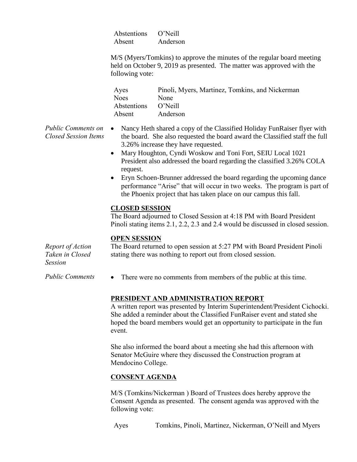| Abstentions | $O'$ Neill |
|-------------|------------|
| Absent      | Anderson   |

M/S (Myers/Tomkins) to approve the minutes of the regular board meeting held on October 9, 2019 as presented. The matter was approved with the following vote:

| Ayes        | Pinoli, Myers, Martinez, Tomkins, and Nickerman |
|-------------|-------------------------------------------------|
| <b>Noes</b> | None                                            |
| Abstentions | O'Neill                                         |
| Absent      | Anderson                                        |

- *Public Comments on Closed Session Items* • Nancy Heth shared a copy of the Classified Holiday FunRaiser flyer with the board. She also requested the board award the Classified staff the full 3.26% increase they have requested.
	- Mary Houghton, Cyndi Woskow and Toni Fort, SEIU Local 1021 President also addressed the board regarding the classified 3.26% COLA request.
	- Eryn Schoen-Brunner addressed the board regarding the upcoming dance performance "Arise" that will occur in two weeks. The program is part of the Phoenix project that has taken place on our campus this fall.

### **CLOSED SESSION**

The Board adjourned to Closed Session at 4:18 PM with Board President Pinoli stating items 2.1, 2.2, 2.3 and 2.4 would be discussed in closed session.

### **OPEN SESSION**

*Report of Action Taken in Closed Session* The Board returned to open session at 5:27 PM with Board President Pinoli stating there was nothing to report out from closed session.

*Public Comments* • There were no comments from members of the public at this time.

## **PRESIDENT AND ADMINISTRATION REPORT**

A written report was presented by Interim Superintendent/President Cichocki. She added a reminder about the Classified FunRaiser event and stated she hoped the board members would get an opportunity to participate in the fun event.

She also informed the board about a meeting she had this afternoon with Senator McGuire where they discussed the Construction program at Mendocino College.

## **CONSENT AGENDA**

M/S (Tomkins/Nickerman ) Board of Trustees does hereby approve the Consent Agenda as presented. The consent agenda was approved with the following vote:

Ayes Tomkins, Pinoli, Martinez, Nickerman, O'Neill and Myers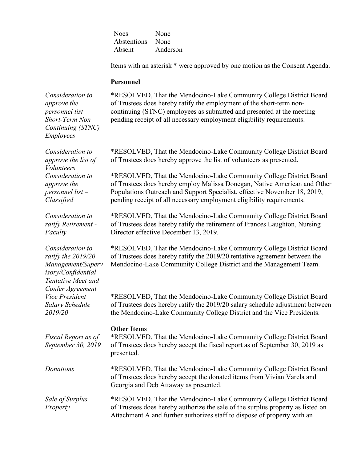Noes None Abstentions None Absent Anderson

Items with an asterisk \* were approved by one motion as the Consent Agenda.

### **Personnel**

*Consideration to approve the personnel list – Short-Term Non Continuing (STNC) Employees*

\*RESOLVED, That the Mendocino-Lake Community College District Board of Trustees does hereby ratify the employment of the short-term noncontinuing (STNC) employees as submitted and presented at the meeting pending receipt of all necessary employment eligibility requirements.

\*RESOLVED, That the Mendocino-Lake Community College District Board of Trustees does hereby approve the list of volunteers as presented.

\*RESOLVED, That the Mendocino-Lake Community College District Board of Trustees does hereby employ Malissa Donegan, Native American and Other Populations Outreach and Support Specialist, effective November 18, 2019, pending receipt of all necessary employment eligibility requirements.

\*RESOLVED, That the Mendocino-Lake Community College District Board of Trustees does hereby ratify the retirement of Frances Laughton, Nursing Director effective December 13, 2019.

\*RESOLVED, That the Mendocino-Lake Community College District Board of Trustees does hereby ratify the 2019/20 tentative agreement between the Mendocino-Lake Community College District and the Management Team.

\*RESOLVED, That the Mendocino-Lake Community College District Board of Trustees does hereby ratify the 2019/20 salary schedule adjustment between the Mendocino-Lake Community College District and the Vice Presidents.

#### **Other Items**

*Fiscal Report as of September 30, 2019*  \*RESOLVED, That the Mendocino-Lake Community College District Board of Trustees does hereby accept the fiscal report as of September 30, 2019 as presented.

*Donations* \*RESOLVED, That the Mendocino-Lake Community College District Board of Trustees does hereby accept the donated items from Vivian Varela and Georgia and Deb Attaway as presented.

*Sale of Surplus Property* \*RESOLVED, That the Mendocino-Lake Community College District Board of Trustees does hereby authorize the sale of the surplus property as listed on Attachment A and further authorizes staff to dispose of property with an

*Consideration to approve the list of Volunteers Consideration to approve the personnel list – Classified*

*Consideration to ratify Retirement - Faculty*

*Consideration to ratify the 2019/20 Management/Superv isory/Confidential Tentative Meet and Confer Agreement Vice President Salary Schedule 2019/20*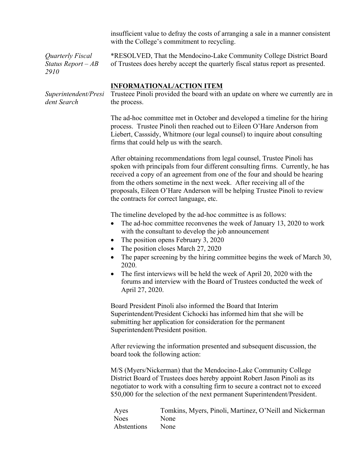insufficient value to defray the costs of arranging a sale in a manner consistent with the College's commitment to recycling.

*Quarterly Fiscal Status Report – AB 2910*

\*RESOLVED, That the Mendocino-Lake Community College District Board of Trustees does hereby accept the quarterly fiscal status report as presented.

### **INFORMATIONAL/ACTION ITEM**

*Superintendent/Presi dent Search*

Trusteee Pinoli provided the board with an update on where we currently are in the process.

The ad-hoc committee met in October and developed a timeline for the hiring process. Trustee Pinoli then reached out to Eileen O'Hare Anderson from Liebert, Casssidy, Whitmore (our legal counsel) to inquire about consulting firms that could help us with the search.

After obtaining recommendations from legal counsel, Trustee Pinoli has spoken with principals from four different consulting firms. Currently, he has received a copy of an agreement from one of the four and should be hearing from the others sometime in the next week. After receiving all of the proposals, Eileen O'Hare Anderson will be helping Trustee Pinoli to review the contracts for correct language, etc.

The timeline developed by the ad-hoc committee is as follows:

- The ad-hoc committee reconvenes the week of January 13, 2020 to work with the consultant to develop the job announcement
- The position opens February 3, 2020
- The position closes March 27, 2020
- The paper screening by the hiring committee begins the week of March 30, 2020.
- The first interviews will be held the week of April 20, 2020 with the forums and interview with the Board of Trustees conducted the week of April 27, 2020.

Board President Pinoli also informed the Board that Interim Superintendent/President Cichocki has informed him that she will be submitting her application for consideration for the permanent Superintendent/President position.

After reviewing the information presented and subsequent discussion, the board took the following action:

M/S (Myers/Nickerman) that the Mendocino-Lake Community College District Board of Trustees does hereby appoint Robert Jason Pinoli as its negotiator to work with a consulting firm to secure a contract not to exceed \$50,000 for the selection of the next permanent Superintendent/President.

| Ayes        | Tomkins, Myers, Pinoli, Martinez, O'Neill and Nickerman |
|-------------|---------------------------------------------------------|
| <b>Noes</b> | None                                                    |
| Abstentions | None                                                    |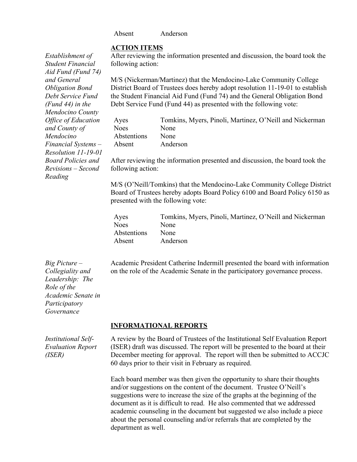#### Absent Anderson

#### **ACTION ITEMS**

After reviewing the information presented and discussion, the board took the following action:

M/S (Nickerman/Martinez) that the Mendocino-Lake Community College District Board of Trustees does hereby adopt resolution 11-19-01 to establish the Student Financial Aid Fund (Fund 74) and the General Obligation Bond Debt Service Fund (Fund 44) as presented with the following vote:

| Ayes        | Tomkins, Myers, Pinoli, Martinez, O'Neill and Nickerman |
|-------------|---------------------------------------------------------|
| <b>Noes</b> | <b>None</b>                                             |
| Abstentions | <b>None</b>                                             |
| Absent      | Anderson                                                |

After reviewing the information presented and discussion, the board took the following action:

M/S (O'Neill/Tomkins) that the Mendocino-Lake Community College District Board of Trustees hereby adopts Board Policy 6100 and Board Policy 6150 as presented with the following vote:

| Ayes        | Tomkins, Myers, Pinoli, Martinez, O'Neill and Nickerman |
|-------------|---------------------------------------------------------|
| <b>Noes</b> | <b>None</b>                                             |
| Abstentions | None                                                    |
| Absent      | Anderson                                                |

Academic President Catherine Indermill presented the board with information on the role of the Academic Senate in the participatory governance process.

#### **INFORMATIONAL REPORTS**

A review by the Board of Trustees of the Institutional Self Evaluation Report (ISER) draft was discussed. The report will be presented to the board at their December meeting for approval. The report will then be submitted to ACCJC 60 days prior to their visit in February as required.

Each board member was then given the opportunity to share their thoughts and/or suggestions on the content of the document. Trustee O'Neill's suggestions were to increase the size of the graphs at the beginning of the document as it is difficult to read. He also commented that we addressed academic counseling in the document but suggested we also include a piece about the personal counseling and/or referrals that are completed by the department as well.

*Establishment of Student Financial Aid Fund (Fund 74) and General Obligation Bond Debt Service Fund (Fund 44) in the Mendocino County Office of Education and County of Mendocino Financial Systems – Resolution 11-19-01 Board Policies and Revisions – Second Reading* 

*Big Picture – Collegiality and Leadership: The Role of the Academic Senate in Participatory Governance*

*Institutional Self-Evaluation Report (ISER)*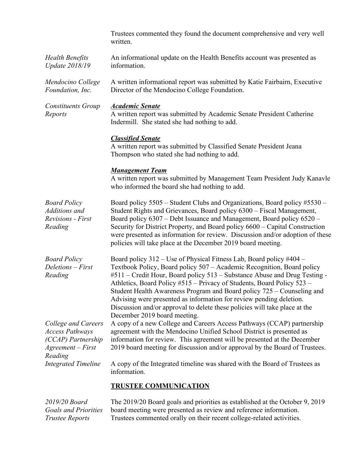|                                                                                                       | Trustees commented they found the document comprehensive and very well<br>written.                                                                                                                                                                                                                                                                                                                                                                                                                                                                                  |
|-------------------------------------------------------------------------------------------------------|---------------------------------------------------------------------------------------------------------------------------------------------------------------------------------------------------------------------------------------------------------------------------------------------------------------------------------------------------------------------------------------------------------------------------------------------------------------------------------------------------------------------------------------------------------------------|
| <b>Health Benefits</b><br><b>Update 2018/19</b>                                                       | An informational update on the Health Benefits account was presented as<br>information.                                                                                                                                                                                                                                                                                                                                                                                                                                                                             |
| Mendocino College<br>Foundation, Inc.                                                                 | A written informational report was submitted by Katie Fairbairn, Executive<br>Director of the Mendocino College Foundation.                                                                                                                                                                                                                                                                                                                                                                                                                                         |
| <b>Constituents Group</b><br>Reports                                                                  | <b>Academic Senate</b><br>A written report was submitted by Academic Senate President Catherine<br>Indermill. She stated she had nothing to add.                                                                                                                                                                                                                                                                                                                                                                                                                    |
|                                                                                                       | <b>Classified Senate</b><br>A written report was submitted by Classified Senate President Jeana<br>Thompson who stated she had nothing to add.                                                                                                                                                                                                                                                                                                                                                                                                                      |
|                                                                                                       | <b>Management Team</b><br>A written report was submitted by Management Team President Judy Kanavle<br>who informed the board she had nothing to add.                                                                                                                                                                                                                                                                                                                                                                                                                |
| <b>Board Policy</b><br>Additions and<br><b>Revisions</b> - First<br>Reading                           | Board policy 5505 – Student Clubs and Organizations, Board policy #5530 –<br>Student Rights and Grievances, Board policy 6300 – Fiscal Management,<br>Board policy 6307 – Debt Issuance and Management, Board policy 6520 –<br>Security for District Property, and Board policy 6600 – Capital Construction<br>were presented as information for review. Discussion and/or adoption of these<br>policies will take place at the December 2019 board meeting.                                                                                                        |
| <b>Board Policy</b><br>Deletions - First<br>Reading                                                   | Board policy 312 – Use of Physical Fitness Lab, Board policy #404 –<br>Textbook Policy, Board policy 507 - Academic Recognition, Board policy<br>#511 - Credit Hour, Board policy 513 - Substance Abuse and Drug Testing -<br>Athletics, Board Policy #515 – Privacy of Students, Board Policy 523 –<br>Student Health Awareness Program and Board policy 725 - Counseling and<br>Advising were presented as information for review pending deletion.<br>Discussion and/or approval to delete these policies will take place at the<br>December 2019 board meeting. |
| College and Careers<br><b>Access Pathways</b><br>(CCAP) Partnership<br>$Agreement - First$<br>Reading | A copy of a new College and Careers Access Pathways (CCAP) partnership<br>agreement with the Mendocino Unified School District is presented as<br>information for review. This agreement will be presented at the December<br>2019 board meeting for discussion and/or approval by the Board of Trustees.                                                                                                                                                                                                                                                           |
| <b>Integrated Timeline</b>                                                                            | A copy of the Integrated timeline was shared with the Board of Trustees as<br>information.                                                                                                                                                                                                                                                                                                                                                                                                                                                                          |
|                                                                                                       | <b>TRUSTEE COMMUNICATION</b>                                                                                                                                                                                                                                                                                                                                                                                                                                                                                                                                        |
| 2019/20 Board                                                                                         | The 2019/20 Board goals and priorities as established at the October 9, 2019                                                                                                                                                                                                                                                                                                                                                                                                                                                                                        |

*Goals and Priorities*

board meeting were presented as review and reference information. *Trustee Reports* Trustees commented orally on their recent college-related activities.